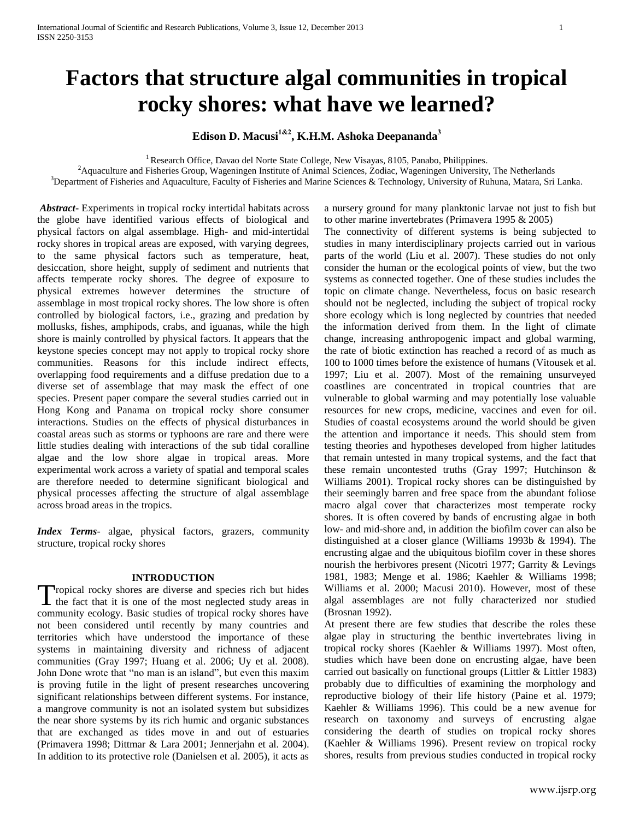# **Factors that structure algal communities in tropical rocky shores: what have we learned?**

# **Edison D. Macusi1&2, K.H.M. Ashoka Deepananda<sup>3</sup>**

<sup>1</sup> Research Office, Davao del Norte State College, New Visayas, 8105, Panabo, Philippines.

<sup>2</sup> Aquaculture and Fisheries Group, Wageningen Institute of Animal Sciences, Zodiac, Wageningen University, The Netherlands

<sup>3</sup>Department of Fisheries and Aquaculture, Faculty of Fisheries and Marine Sciences & Technology, University of Ruhuna, Matara, Sri Lanka.

*Abstract***-** Experiments in tropical rocky intertidal habitats across the globe have identified various effects of biological and physical factors on algal assemblage. High- and mid-intertidal rocky shores in tropical areas are exposed, with varying degrees, to the same physical factors such as temperature, heat, desiccation, shore height, supply of sediment and nutrients that affects temperate rocky shores. The degree of exposure to physical extremes however determines the structure of assemblage in most tropical rocky shores. The low shore is often controlled by biological factors, i.e., grazing and predation by mollusks, fishes, amphipods, crabs, and iguanas, while the high shore is mainly controlled by physical factors. It appears that the keystone species concept may not apply to tropical rocky shore communities. Reasons for this include indirect effects, overlapping food requirements and a diffuse predation due to a diverse set of assemblage that may mask the effect of one species. Present paper compare the several studies carried out in Hong Kong and Panama on tropical rocky shore consumer interactions. Studies on the effects of physical disturbances in coastal areas such as storms or typhoons are rare and there were little studies dealing with interactions of the sub tidal coralline algae and the low shore algae in tropical areas. More experimental work across a variety of spatial and temporal scales are therefore needed to determine significant biological and physical processes affecting the structure of algal assemblage across broad areas in the tropics.

*Index Terms*- algae, physical factors, grazers, community structure, tropical rocky shores

#### **INTRODUCTION**

Tropical rocky shores are diverse and species rich but hides Tropical rocky shores are diverse and species rich but hides<br>the fact that it is one of the most neglected study areas in community ecology. Basic studies of tropical rocky shores have not been considered until recently by many countries and territories which have understood the importance of these systems in maintaining diversity and richness of adjacent communities (Gray 1997; Huang et al. 2006; Uy et al. 2008). John Done wrote that "no man is an island", but even this maxim is proving futile in the light of present researches uncovering significant relationships between different systems. For instance, a mangrove community is not an isolated system but subsidizes the near shore systems by its rich humic and organic substances that are exchanged as tides move in and out of estuaries (Primavera 1998; Dittmar & Lara 2001; Jennerjahn et al. 2004). In addition to its protective role (Danielsen et al. 2005), it acts as

a nursery ground for many planktonic larvae not just to fish but to other marine invertebrates (Primavera 1995 & 2005)

The connectivity of different systems is being subjected to studies in many interdisciplinary projects carried out in various parts of the world (Liu et al. 2007). These studies do not only consider the human or the ecological points of view, but the two systems as connected together. One of these studies includes the topic on climate change. Nevertheless, focus on basic research should not be neglected, including the subject of tropical rocky shore ecology which is long neglected by countries that needed the information derived from them. In the light of climate change, increasing anthropogenic impact and global warming, the rate of biotic extinction has reached a record of as much as 100 to 1000 times before the existence of humans (Vitousek et al. 1997; Liu et al. 2007). Most of the remaining unsurveyed coastlines are concentrated in tropical countries that are vulnerable to global warming and may potentially lose valuable resources for new crops, medicine, vaccines and even for oil. Studies of coastal ecosystems around the world should be given the attention and importance it needs. This should stem from testing theories and hypotheses developed from higher latitudes that remain untested in many tropical systems, and the fact that these remain uncontested truths (Gray 1997; Hutchinson & Williams 2001). Tropical rocky shores can be distinguished by their seemingly barren and free space from the abundant foliose macro algal cover that characterizes most temperate rocky shores. It is often covered by bands of encrusting algae in both low- and mid-shore and, in addition the biofilm cover can also be distinguished at a closer glance (Williams 1993b & 1994). The encrusting algae and the ubiquitous biofilm cover in these shores nourish the herbivores present (Nicotri 1977; Garrity & Levings 1981, 1983; Menge et al. 1986; Kaehler & Williams 1998; Williams et al. 2000; Macusi 2010). However, most of these algal assemblages are not fully characterized nor studied (Brosnan 1992).

At present there are few studies that describe the roles these algae play in structuring the benthic invertebrates living in tropical rocky shores (Kaehler & Williams 1997). Most often, studies which have been done on encrusting algae, have been carried out basically on functional groups (Littler & Littler 1983) probably due to difficulties of examining the morphology and reproductive biology of their life history (Paine et al. 1979; Kaehler & Williams 1996). This could be a new avenue for research on taxonomy and surveys of encrusting algae considering the dearth of studies on tropical rocky shores (Kaehler & Williams 1996). Present review on tropical rocky shores, results from previous studies conducted in tropical rocky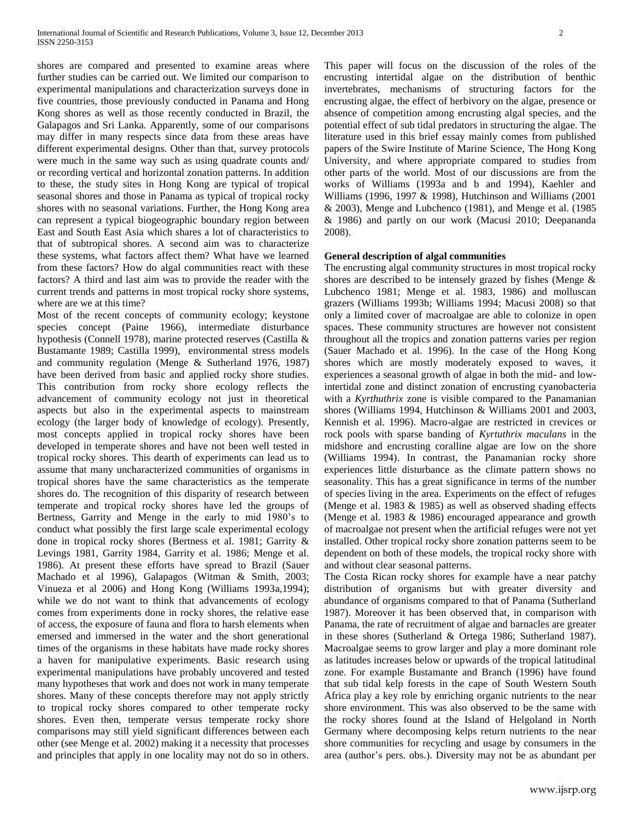shores are compared and presented to examine areas where further studies can be carried out. We limited our comparison to experimental manipulations and characterization surveys done in five countries, those previously conducted in Panama and Hong Kong shores as well as those recently conducted in Brazil, the Galapagos and Sri Lanka. Apparently, some of our comparisons may differ in many respects since data from these areas have different experimental designs. Other than that, survey protocols were much in the same way such as using quadrate counts and/ or recording vertical and horizontal zonation patterns. In addition to these, the study sites in Hong Kong are typical of tropical seasonal shores and those in Panama as typical of tropical rocky shores with no seasonal variations. Further, the Hong Kong area can represent a typical biogeographic boundary region between East and South East Asia which shares a lot of characteristics to that of subtropical shores. A second aim was to characterize these systems, what factors affect them? What have we learned from these factors? How do algal communities react with these factors? A third and last aim was to provide the reader with the current trends and patterns in most tropical rocky shore systems, where are we at this time?

Most of the recent concepts of community ecology; keystone species concept (Paine 1966), intermediate disturbance hypothesis (Connell 1978), marine protected reserves (Castilla & Bustamante 1989; Castilla 1999), environmental stress models and community regulation (Menge & Sutherland 1976, 1987) have been derived from basic and applied rocky shore studies. This contribution from rocky shore ecology reflects the advancement of community ecology not just in theoretical aspects but also in the experimental aspects to mainstream ecology (the larger body of knowledge of ecology). Presently, most concepts applied in tropical rocky shores have been developed in temperate shores and have not been well tested in tropical rocky shores. This dearth of experiments can lead us to assume that many uncharacterized communities of organisms in tropical shores have the same characteristics as the temperate shores do. The recognition of this disparity of research between temperate and tropical rocky shores have led the groups of Bertness, Garrity and Menge in the early to mid 1980's to conduct what possibly the first large scale experimental ecology done in tropical rocky shores (Bertness et al. 1981; Garrity & Levings 1981, Garrity 1984, Garrity et al. 1986; Menge et al. 1986). At present these efforts have spread to Brazil (Sauer Machado et al 1996), Galapagos (Witman & Smith, 2003; Vinueza et al 2006) and Hong Kong (Williams 1993a,1994); while we do not want to think that advancements of ecology comes from experiments done in rocky shores, the relative ease of access, the exposure of fauna and flora to harsh elements when emersed and immersed in the water and the short generational times of the organisms in these habitats have made rocky shores a haven for manipulative experiments. Basic research using experimental manipulations have probably uncovered and tested many hypotheses that work and does not work in many temperate shores. Many of these concepts therefore may not apply strictly to tropical rocky shores compared to other temperate rocky shores. Even then, temperate versus temperate rocky shore comparisons may still yield significant differences between each other (see Menge et al. 2002) making it a necessity that processes and principles that apply in one locality may not do so in others.

This paper will focus on the discussion of the roles of the encrusting intertidal algae on the distribution of benthic invertebrates, mechanisms of structuring factors for the encrusting algae, the effect of herbivory on the algae, presence or absence of competition among encrusting algal species, and the potential effect of sub tidal predators in structuring the algae. The literature used in this brief essay mainly comes from published papers of the Swire Institute of Marine Science, The Hong Kong University, and where appropriate compared to studies from other parts of the world. Most of our discussions are from the works of Williams (1993a and b and 1994), Kaehler and Williams (1996, 1997 & 1998), Hutchinson and Williams (2001 & 2003), Menge and Lubchenco (1981), and Menge et al. (1985 & 1986) and partly on our work (Macusi 2010; Deepananda 2008).

#### **General description of algal communities**

The encrusting algal community structures in most tropical rocky shores are described to be intensely grazed by fishes (Menge & Lubchenco 1981; Menge et al. 1983, 1986) and molluscan grazers (Williams 1993b; Williams 1994; Macusi 2008) so that only a limited cover of macroalgae are able to colonize in open spaces. These community structures are however not consistent throughout all the tropics and zonation patterns varies per region (Sauer Machado et al. 1996). In the case of the Hong Kong shores which are mostly moderately exposed to waves, it experiences a seasonal growth of algae in both the mid- and lowintertidal zone and distinct zonation of encrusting cyanobacteria with a *Kyrthuthrix* zone is visible compared to the Panamanian shores (Williams 1994, Hutchinson & Williams 2001 and 2003, Kennish et al. 1996). Macro-algae are restricted in crevices or rock pools with sparse banding of *Kyrtuthrix maculans* in the midshore and encrusting coralline algae are low on the shore (Williams 1994). In contrast, the Panamanian rocky shore experiences little disturbance as the climate pattern shows no seasonality. This has a great significance in terms of the number of species living in the area. Experiments on the effect of refuges (Menge et al. 1983 & 1985) as well as observed shading effects (Menge et al. 1983 & 1986) encouraged appearance and growth of macroalgae not present when the artificial refuges were not yet installed. Other tropical rocky shore zonation patterns seem to be dependent on both of these models, the tropical rocky shore with and without clear seasonal patterns.

The Costa Rican rocky shores for example have a near patchy distribution of organisms but with greater diversity and abundance of organisms compared to that of Panama (Sutherland 1987). Moreover it has been observed that, in comparison with Panama, the rate of recruitment of algae and barnacles are greater in these shores (Sutherland & Ortega 1986; Sutherland 1987). Macroalgae seems to grow larger and play a more dominant role as latitudes increases below or upwards of the tropical latitudinal zone. For example Bustamante and Branch (1996) have found that sub tidal kelp forests in the cape of South Western South Africa play a key role by enriching organic nutrients to the near shore environment. This was also observed to be the same with the rocky shores found at the Island of Helgoland in North Germany where decomposing kelps return nutrients to the near shore communities for recycling and usage by consumers in the area (author's pers. obs.). Diversity may not be as abundant per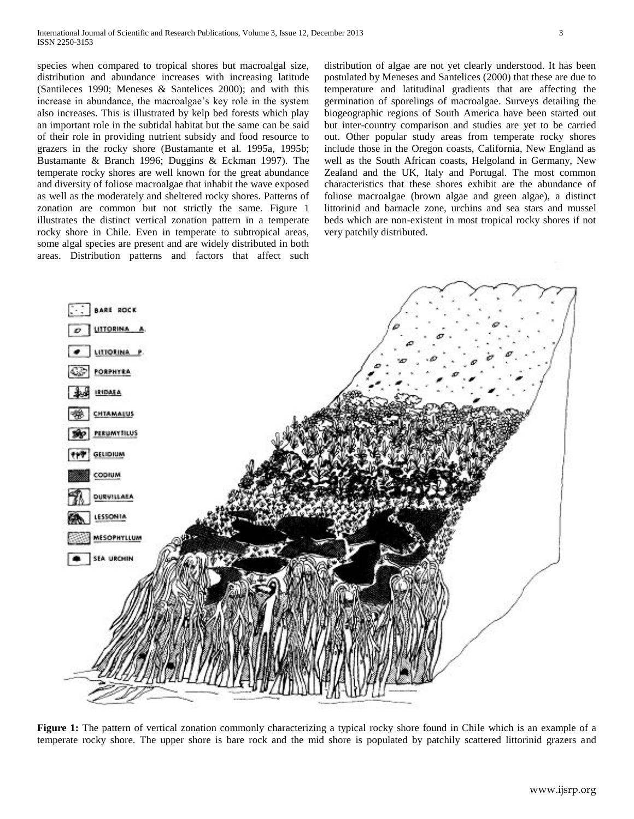species when compared to tropical shores but macroalgal size, distribution and abundance increases with increasing latitude (Santileces 1990; Meneses & Santelices 2000); and with this increase in abundance, the macroalgae's key role in the system also increases. This is illustrated by kelp bed forests which play an important role in the subtidal habitat but the same can be said of their role in providing nutrient subsidy and food resource to grazers in the rocky shore (Bustamante et al. 1995a, 1995b; Bustamante & Branch 1996; Duggins & Eckman 1997). The temperate rocky shores are well known for the great abundance and diversity of foliose macroalgae that inhabit the wave exposed as well as the moderately and sheltered rocky shores. Patterns of zonation are common but not strictly the same. Figure 1 illustrates the distinct vertical zonation pattern in a temperate rocky shore in Chile. Even in temperate to subtropical areas, some algal species are present and are widely distributed in both areas. Distribution patterns and factors that affect such

distribution of algae are not yet clearly understood. It has been postulated by Meneses and Santelices (2000) that these are due to temperature and latitudinal gradients that are affecting the germination of sporelings of macroalgae. Surveys detailing the biogeographic regions of South America have been started out but inter-country comparison and studies are yet to be carried out. Other popular study areas from temperate rocky shores include those in the Oregon coasts, California, New England as well as the South African coasts, Helgoland in Germany, New Zealand and the UK, Italy and Portugal. The most common characteristics that these shores exhibit are the abundance of foliose macroalgae (brown algae and green algae), a distinct littorinid and barnacle zone, urchins and sea stars and mussel beds which are non-existent in most tropical rocky shores if not very patchily distributed.



Figure 1: The pattern of vertical zonation commonly characterizing a typical rocky shore found in Chile which is an example of a temperate rocky shore. The upper shore is bare rock and the mid shore is populated by patchily scattered littorinid grazers and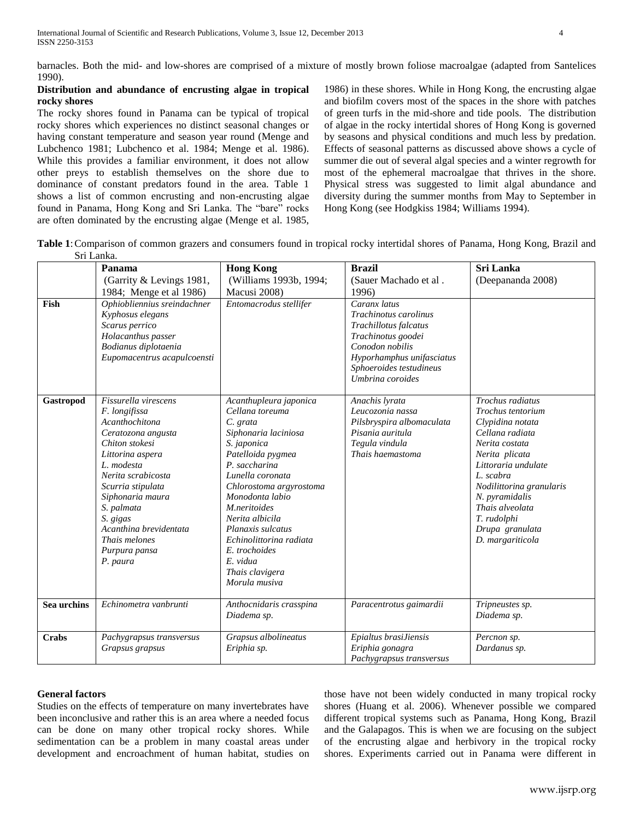barnacles. Both the mid- and low-shores are comprised of a mixture of mostly brown foliose macroalgae (adapted from Santelices 1990).

#### **Distribution and abundance of encrusting algae in tropical rocky shores**

The rocky shores found in Panama can be typical of tropical rocky shores which experiences no distinct seasonal changes or having constant temperature and season year round (Menge and Lubchenco 1981; Lubchenco et al. 1984; Menge et al. 1986). While this provides a familiar environment, it does not allow other preys to establish themselves on the shore due to dominance of constant predators found in the area. Table 1 shows a list of common encrusting and non-encrusting algae found in Panama, Hong Kong and Sri Lanka. The "bare" rocks are often dominated by the encrusting algae (Menge et al. 1985,

1986) in these shores. While in Hong Kong, the encrusting algae and biofilm covers most of the spaces in the shore with patches of green turfs in the mid-shore and tide pools. The distribution of algae in the rocky intertidal shores of Hong Kong is governed by seasons and physical conditions and much less by predation. Effects of seasonal patterns as discussed above shows a cycle of summer die out of several algal species and a winter regrowth for most of the ephemeral macroalgae that thrives in the shore. Physical stress was suggested to limit algal abundance and diversity during the summer months from May to September in Hong Kong (see Hodgkiss 1984; Williams 1994).

**Table 1**:Comparison of common grazers and consumers found in tropical rocky intertidal shores of Panama, Hong Kong, Brazil and Sri Lanka.

|             | Panama                                                                                                                                                                                                                                                                                             | <b>Hong Kong</b>                                                                                                                                                                                                                                                                                                                                         | <b>Brazil</b>                                                                                                                                                                       | Sri Lanka                                                                                                                                                                                                                                                                   |
|-------------|----------------------------------------------------------------------------------------------------------------------------------------------------------------------------------------------------------------------------------------------------------------------------------------------------|----------------------------------------------------------------------------------------------------------------------------------------------------------------------------------------------------------------------------------------------------------------------------------------------------------------------------------------------------------|-------------------------------------------------------------------------------------------------------------------------------------------------------------------------------------|-----------------------------------------------------------------------------------------------------------------------------------------------------------------------------------------------------------------------------------------------------------------------------|
|             | (Garrity & Levings 1981,                                                                                                                                                                                                                                                                           | (Williams 1993b, 1994;                                                                                                                                                                                                                                                                                                                                   | (Sauer Machado et al.                                                                                                                                                               | (Deepananda 2008)                                                                                                                                                                                                                                                           |
|             | 1984; Menge et al 1986)                                                                                                                                                                                                                                                                            | Macusi 2008)                                                                                                                                                                                                                                                                                                                                             | 1996)                                                                                                                                                                               |                                                                                                                                                                                                                                                                             |
| Fish        | Ophiobliennius sreindachner<br>Kyphosus elegans<br>Scarus perrico<br>Holacanthus passer<br>Bodianus diplotaenia<br>Eupomacentrus acapulcoensti                                                                                                                                                     | Entomacrodus stellifer                                                                                                                                                                                                                                                                                                                                   | Caranx latus<br>Trachinotus carolinus<br>Trachillotus falcatus<br>Trachinotus goodei<br>Conodon nobilis<br>Hyporhamphus unifasciatus<br>Sphoeroides testudineus<br>Umbrina coroides |                                                                                                                                                                                                                                                                             |
| Gastropod   | Fissurella virescens<br>F. longifissa<br>Acanthochitona<br>Ceratozona angusta<br>Chiton stokesi<br>Littorina aspera<br>L. modesta<br>Nerita scrabicosta<br>Scurria stipulata<br>Siphonaria maura<br>S. palmata<br>S. gigas<br>Acanthina brevidentata<br>Thais melones<br>Purpura pansa<br>P. paura | Acanthupleura japonica<br>Cellana toreuma<br>C. grata<br>Siphonaria laciniosa<br>S. japonica<br>Patelloida pygmea<br>P. saccharina<br>Lunella coronata<br>Chlorostoma argyrostoma<br>Monodonta labio<br>M.neritoides<br>Nerita albicila<br>Planaxis sulcatus<br>Echinolittorina radiata<br>E. trochoides<br>E. vidua<br>Thais clavigera<br>Morula musiva | Anachis lyrata<br>Leucozonia nassa<br>Pilsbryspira albomaculata<br>Pisania auritula<br>Tegula vindula<br>Thais haemastoma                                                           | Trochus radiatus<br>Trochus tentorium<br>Clypidina notata<br>Cellana radiata<br>Nerita costata<br>Nerita plicata<br>Littoraria undulate<br>L. scabra<br>Nodilittorina granularis<br>N. pyramidalis<br>Thais alveolata<br>T. rudolphi<br>Drupa granulata<br>D. margariticola |
| Sea urchins | Echinometra vanbrunti                                                                                                                                                                                                                                                                              | Anthocnidaris crasspina<br>Diadema sp.                                                                                                                                                                                                                                                                                                                   | Paracentrotus gaimardii                                                                                                                                                             | Tripneustes sp.<br>Diadema sp.                                                                                                                                                                                                                                              |
| Crabs       | Pachygrapsus transversus<br>Grapsus grapsus                                                                                                                                                                                                                                                        | Grapsus albolineatus<br>Eriphia sp.                                                                                                                                                                                                                                                                                                                      | Epialtus brasiJiensis<br>Eriphia gonagra<br>Pachygrapsus transversus                                                                                                                | Percnon sp.<br>Dardanus sp.                                                                                                                                                                                                                                                 |

#### **General factors**

Studies on the effects of temperature on many invertebrates have been inconclusive and rather this is an area where a needed focus can be done on many other tropical rocky shores. While sedimentation can be a problem in many coastal areas under development and encroachment of human habitat, studies on

those have not been widely conducted in many tropical rocky shores (Huang et al. 2006). Whenever possible we compared different tropical systems such as Panama, Hong Kong, Brazil and the Galapagos. This is when we are focusing on the subject of the encrusting algae and herbivory in the tropical rocky shores. Experiments carried out in Panama were different in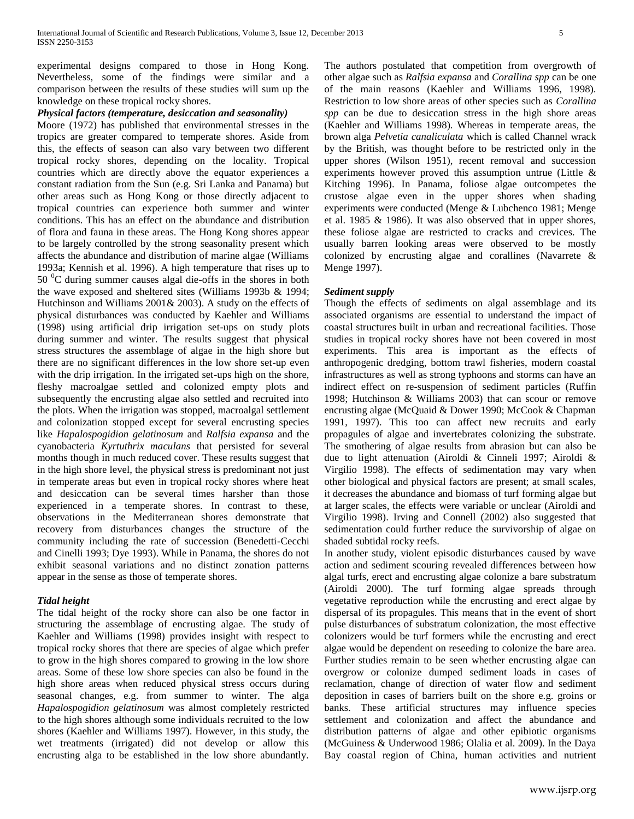experimental designs compared to those in Hong Kong. Nevertheless, some of the findings were similar and a comparison between the results of these studies will sum up the knowledge on these tropical rocky shores.

#### *Physical factors (temperature, desiccation and seasonality)*

Moore (1972) has published that environmental stresses in the tropics are greater compared to temperate shores. Aside from this, the effects of season can also vary between two different tropical rocky shores, depending on the locality. Tropical countries which are directly above the equator experiences a constant radiation from the Sun (e.g. Sri Lanka and Panama) but other areas such as Hong Kong or those directly adjacent to tropical countries can experience both summer and winter conditions. This has an effect on the abundance and distribution of flora and fauna in these areas. The Hong Kong shores appear to be largely controlled by the strong seasonality present which affects the abundance and distribution of marine algae (Williams 1993a; Kennish et al. 1996). A high temperature that rises up to  $50<sup>0</sup>C$  during summer causes algal die-offs in the shores in both the wave exposed and sheltered sites (Williams 1993b & 1994; Hutchinson and Williams 2001& 2003). A study on the effects of physical disturbances was conducted by Kaehler and Williams (1998) using artificial drip irrigation set-ups on study plots during summer and winter. The results suggest that physical stress structures the assemblage of algae in the high shore but there are no significant differences in the low shore set-up even with the drip irrigation. In the irrigated set-ups high on the shore, fleshy macroalgae settled and colonized empty plots and subsequently the encrusting algae also settled and recruited into the plots. When the irrigation was stopped, macroalgal settlement and colonization stopped except for several encrusting species like *Hapalospogidion gelatinosum* and *Ralfsia expansa* and the cyanobacteria *Kyrtuthrix maculans* that persisted for several months though in much reduced cover. These results suggest that in the high shore level, the physical stress is predominant not just in temperate areas but even in tropical rocky shores where heat and desiccation can be several times harsher than those experienced in a temperate shores. In contrast to these, observations in the Mediterranean shores demonstrate that recovery from disturbances changes the structure of the community including the rate of succession (Benedetti-Cecchi and Cinelli 1993; Dye 1993). While in Panama, the shores do not exhibit seasonal variations and no distinct zonation patterns appear in the sense as those of temperate shores.

#### *Tidal height*

The tidal height of the rocky shore can also be one factor in structuring the assemblage of encrusting algae. The study of Kaehler and Williams (1998) provides insight with respect to tropical rocky shores that there are species of algae which prefer to grow in the high shores compared to growing in the low shore areas. Some of these low shore species can also be found in the high shore areas when reduced physical stress occurs during seasonal changes, e.g. from summer to winter. The alga *Hapalospogidion gelatinosum* was almost completely restricted to the high shores although some individuals recruited to the low shores (Kaehler and Williams 1997). However, in this study, the wet treatments (irrigated) did not develop or allow this encrusting alga to be established in the low shore abundantly. The authors postulated that competition from overgrowth of other algae such as *Ralfsia expansa* and *Corallina spp* can be one of the main reasons (Kaehler and Williams 1996, 1998). Restriction to low shore areas of other species such as *Corallina spp* can be due to desiccation stress in the high shore areas (Kaehler and Williams 1998). Whereas in temperate areas, the brown alga *Pelvetia canaliculata* which is called Channel wrack by the British, was thought before to be restricted only in the upper shores (Wilson 1951), recent removal and succession experiments however proved this assumption untrue (Little & Kitching 1996). In Panama, foliose algae outcompetes the crustose algae even in the upper shores when shading experiments were conducted (Menge & Lubchenco 1981; Menge et al. 1985 & 1986). It was also observed that in upper shores, these foliose algae are restricted to cracks and crevices. The usually barren looking areas were observed to be mostly colonized by encrusting algae and corallines (Navarrete & Menge 1997).

#### *Sediment supply*

Though the effects of sediments on algal assemblage and its associated organisms are essential to understand the impact of coastal structures built in urban and recreational facilities. Those studies in tropical rocky shores have not been covered in most experiments. This area is important as the effects of anthropogenic dredging, bottom trawl fisheries, modern coastal infrastructures as well as strong typhoons and storms can have an indirect effect on re-suspension of sediment particles (Ruffin 1998; Hutchinson & Williams 2003) that can scour or remove encrusting algae (McQuaid & Dower 1990; McCook & Chapman 1991, 1997). This too can affect new recruits and early propagules of algae and invertebrates colonizing the substrate. The smothering of algae results from abrasion but can also be due to light attenuation (Airoldi & Cinneli 1997; Airoldi & Virgilio 1998). The effects of sedimentation may vary when other biological and physical factors are present; at small scales, it decreases the abundance and biomass of turf forming algae but at larger scales, the effects were variable or unclear (Airoldi and Virgilio 1998). Irving and Connell (2002) also suggested that sedimentation could further reduce the survivorship of algae on shaded subtidal rocky reefs.

In another study, violent episodic disturbances caused by wave action and sediment scouring revealed differences between how algal turfs, erect and encrusting algae colonize a bare substratum (Airoldi 2000). The turf forming algae spreads through vegetative reproduction while the encrusting and erect algae by dispersal of its propagules. This means that in the event of short pulse disturbances of substratum colonization, the most effective colonizers would be turf formers while the encrusting and erect algae would be dependent on reseeding to colonize the bare area. Further studies remain to be seen whether encrusting algae can overgrow or colonize dumped sediment loads in cases of reclamation, change of direction of water flow and sediment deposition in cases of barriers built on the shore e.g. groins or banks. These artificial structures may influence species settlement and colonization and affect the abundance and distribution patterns of algae and other epibiotic organisms (McGuiness & Underwood 1986; Olalia et al. 2009). In the Daya Bay coastal region of China, human activities and nutrient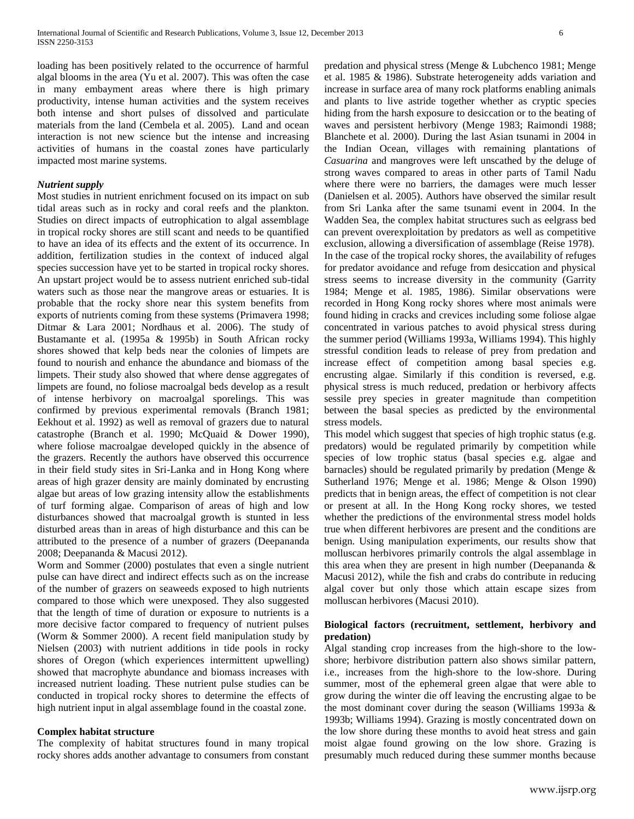loading has been positively related to the occurrence of harmful algal blooms in the area (Yu et al. 2007). This was often the case in many embayment areas where there is high primary productivity, intense human activities and the system receives both intense and short pulses of dissolved and particulate materials from the land (Cembela et al. 2005). Land and ocean interaction is not new science but the intense and increasing activities of humans in the coastal zones have particularly impacted most marine systems.

#### *Nutrient supply*

Most studies in nutrient enrichment focused on its impact on sub tidal areas such as in rocky and coral reefs and the plankton. Studies on direct impacts of eutrophication to algal assemblage in tropical rocky shores are still scant and needs to be quantified to have an idea of its effects and the extent of its occurrence. In addition, fertilization studies in the context of induced algal species succession have yet to be started in tropical rocky shores. An upstart project would be to assess nutrient enriched sub-tidal waters such as those near the mangrove areas or estuaries. It is probable that the rocky shore near this system benefits from exports of nutrients coming from these systems (Primavera 1998; Ditmar & Lara 2001; Nordhaus et al. 2006). The study of Bustamante et al. (1995a & 1995b) in South African rocky shores showed that kelp beds near the colonies of limpets are found to nourish and enhance the abundance and biomass of the limpets. Their study also showed that where dense aggregates of limpets are found, no foliose macroalgal beds develop as a result of intense herbivory on macroalgal sporelings. This was confirmed by previous experimental removals (Branch 1981; Eekhout et al. 1992) as well as removal of grazers due to natural catastrophe (Branch et al. 1990; McQuaid & Dower 1990), where foliose macroalgae developed quickly in the absence of the grazers. Recently the authors have observed this occurrence in their field study sites in Sri-Lanka and in Hong Kong where areas of high grazer density are mainly dominated by encrusting algae but areas of low grazing intensity allow the establishments of turf forming algae. Comparison of areas of high and low disturbances showed that macroalgal growth is stunted in less disturbed areas than in areas of high disturbance and this can be attributed to the presence of a number of grazers (Deepananda 2008; Deepananda & Macusi 2012).

Worm and Sommer (2000) postulates that even a single nutrient pulse can have direct and indirect effects such as on the increase of the number of grazers on seaweeds exposed to high nutrients compared to those which were unexposed. They also suggested that the length of time of duration or exposure to nutrients is a more decisive factor compared to frequency of nutrient pulses (Worm & Sommer 2000). A recent field manipulation study by Nielsen (2003) with nutrient additions in tide pools in rocky shores of Oregon (which experiences intermittent upwelling) showed that macrophyte abundance and biomass increases with increased nutrient loading. These nutrient pulse studies can be conducted in tropical rocky shores to determine the effects of high nutrient input in algal assemblage found in the coastal zone.

#### **Complex habitat structure**

The complexity of habitat structures found in many tropical rocky shores adds another advantage to consumers from constant predation and physical stress (Menge & Lubchenco 1981; Menge et al. 1985 & 1986). Substrate heterogeneity adds variation and increase in surface area of many rock platforms enabling animals and plants to live astride together whether as cryptic species hiding from the harsh exposure to desiccation or to the beating of waves and persistent herbivory (Menge 1983; Raimondi 1988; Blanchete et al. 2000). During the last Asian tsunami in 2004 in the Indian Ocean, villages with remaining plantations of *Casuarina* and mangroves were left unscathed by the deluge of strong waves compared to areas in other parts of Tamil Nadu where there were no barriers, the damages were much lesser (Danielsen et al. 2005). Authors have observed the similar result from Sri Lanka after the same tsunami event in 2004. In the Wadden Sea, the complex habitat structures such as eelgrass bed can prevent overexploitation by predators as well as competitive exclusion, allowing a diversification of assemblage (Reise 1978). In the case of the tropical rocky shores, the availability of refuges for predator avoidance and refuge from desiccation and physical stress seems to increase diversity in the community (Garrity 1984; Menge et al. 1985, 1986). Similar observations were recorded in Hong Kong rocky shores where most animals were found hiding in cracks and crevices including some foliose algae concentrated in various patches to avoid physical stress during the summer period (Williams 1993a, Williams 1994). This highly stressful condition leads to release of prey from predation and increase effect of competition among basal species e.g. encrusting algae. Similarly if this condition is reversed, e.g. physical stress is much reduced, predation or herbivory affects sessile prey species in greater magnitude than competition between the basal species as predicted by the environmental stress models.

This model which suggest that species of high trophic status (e.g. predators) would be regulated primarily by competition while species of low trophic status (basal species e.g. algae and barnacles) should be regulated primarily by predation (Menge & Sutherland 1976; Menge et al. 1986; Menge & Olson 1990) predicts that in benign areas, the effect of competition is not clear or present at all. In the Hong Kong rocky shores, we tested whether the predictions of the environmental stress model holds true when different herbivores are present and the conditions are benign. Using manipulation experiments, our results show that molluscan herbivores primarily controls the algal assemblage in this area when they are present in high number (Deepananda  $\&$ Macusi 2012), while the fish and crabs do contribute in reducing algal cover but only those which attain escape sizes from molluscan herbivores (Macusi 2010).

#### **Biological factors (recruitment, settlement, herbivory and predation)**

Algal standing crop increases from the high-shore to the lowshore; herbivore distribution pattern also shows similar pattern, i.e., increases from the high-shore to the low-shore. During summer, most of the ephemeral green algae that were able to grow during the winter die off leaving the encrusting algae to be the most dominant cover during the season (Williams 1993a & 1993b; Williams 1994). Grazing is mostly concentrated down on the low shore during these months to avoid heat stress and gain moist algae found growing on the low shore. Grazing is presumably much reduced during these summer months because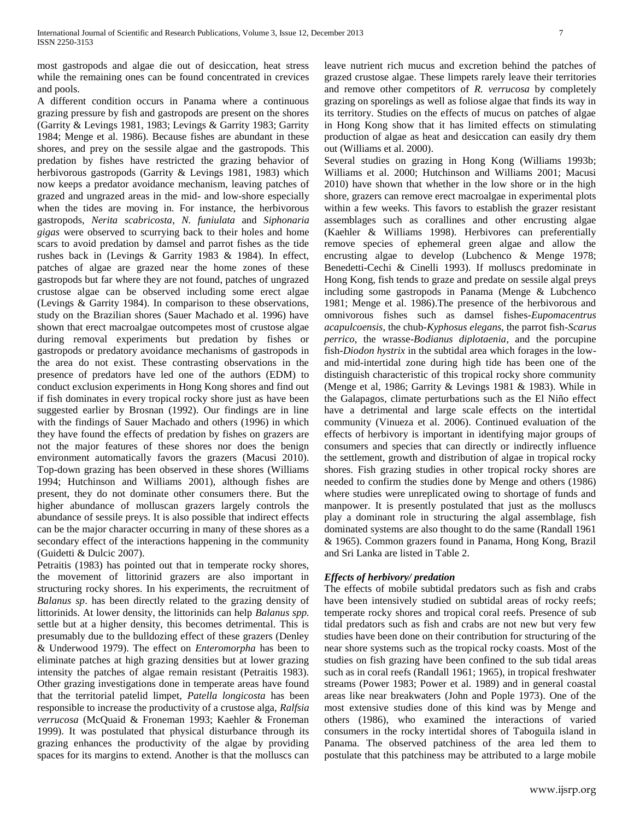most gastropods and algae die out of desiccation, heat stress while the remaining ones can be found concentrated in crevices and pools.

A different condition occurs in Panama where a continuous grazing pressure by fish and gastropods are present on the shores (Garrity & Levings 1981, 1983; Levings & Garrity 1983; Garrity 1984; Menge et al. 1986). Because fishes are abundant in these shores, and prey on the sessile algae and the gastropods. This predation by fishes have restricted the grazing behavior of herbivorous gastropods (Garrity & Levings 1981, 1983) which now keeps a predator avoidance mechanism, leaving patches of grazed and ungrazed areas in the mid- and low-shore especially when the tides are moving in. For instance, the herbivorous gastropods, *Nerita scabricosta*, *N. funiulata* and *Siphonaria gigas* were observed to scurrying back to their holes and home scars to avoid predation by damsel and parrot fishes as the tide rushes back in (Levings & Garrity 1983 & 1984). In effect, patches of algae are grazed near the home zones of these gastropods but far where they are not found, patches of ungrazed crustose algae can be observed including some erect algae (Levings & Garrity 1984). In comparison to these observations, study on the Brazilian shores (Sauer Machado et al. 1996) have shown that erect macroalgae outcompetes most of crustose algae during removal experiments but predation by fishes or gastropods or predatory avoidance mechanisms of gastropods in the area do not exist. These contrasting observations in the presence of predators have led one of the authors (EDM) to conduct exclusion experiments in Hong Kong shores and find out if fish dominates in every tropical rocky shore just as have been suggested earlier by Brosnan (1992). Our findings are in line with the findings of Sauer Machado and others (1996) in which they have found the effects of predation by fishes on grazers are not the major features of these shores nor does the benign environment automatically favors the grazers (Macusi 2010). Top-down grazing has been observed in these shores (Williams 1994; Hutchinson and Williams 2001), although fishes are present, they do not dominate other consumers there. But the higher abundance of molluscan grazers largely controls the abundance of sessile preys. It is also possible that indirect effects can be the major character occurring in many of these shores as a secondary effect of the interactions happening in the community (Guidetti & Dulcic 2007).

Petraitis (1983) has pointed out that in temperate rocky shores, the movement of littorinid grazers are also important in structuring rocky shores. In his experiments, the recruitment of *Balanus sp*. has been directly related to the grazing density of littorinids. At lower density, the littorinids can help *Balanus spp.*  settle but at a higher density, this becomes detrimental. This is presumably due to the bulldozing effect of these grazers (Denley & Underwood 1979). The effect on *Enteromorpha* has been to eliminate patches at high grazing densities but at lower grazing intensity the patches of algae remain resistant (Petraitis 1983). Other grazing investigations done in temperate areas have found that the territorial patelid limpet, *Patella longicosta* has been responsible to increase the productivity of a crustose alga, *Ralfsia verrucosa* (McQuaid & Froneman 1993; Kaehler & Froneman 1999). It was postulated that physical disturbance through its grazing enhances the productivity of the algae by providing spaces for its margins to extend. Another is that the molluscs can

leave nutrient rich mucus and excretion behind the patches of grazed crustose algae. These limpets rarely leave their territories and remove other competitors of *R. verrucosa* by completely grazing on sporelings as well as foliose algae that finds its way in its territory. Studies on the effects of mucus on patches of algae in Hong Kong show that it has limited effects on stimulating production of algae as heat and desiccation can easily dry them out (Williams et al. 2000).

Several studies on grazing in Hong Kong (Williams 1993b; Williams et al. 2000; Hutchinson and Williams 2001; Macusi 2010) have shown that whether in the low shore or in the high shore, grazers can remove erect macroalgae in experimental plots within a few weeks. This favors to establish the grazer resistant assemblages such as corallines and other encrusting algae (Kaehler & Williams 1998). Herbivores can preferentially remove species of ephemeral green algae and allow the encrusting algae to develop (Lubchenco & Menge 1978; Benedetti-Cechi & Cinelli 1993). If molluscs predominate in Hong Kong, fish tends to graze and predate on sessile algal preys including some gastropods in Panama (Menge & Lubchenco 1981; Menge et al. 1986).The presence of the herbivorous and omnivorous fishes such as damsel fishes-*Eupomacentrus acapulcoensis*, the chub-*Kyphosus elegans*, the parrot fish-*Scarus perrico*, the wrasse-*Bodianus diplotaenia*, and the porcupine fish-*Diodon hystrix* in the subtidal area which forages in the lowand mid-intertidal zone during high tide has been one of the distinguish characteristic of this tropical rocky shore community (Menge et al, 1986; Garrity & Levings 1981 & 1983). While in the Galapagos, climate perturbations such as the El Niño effect have a detrimental and large scale effects on the intertidal community (Vinueza et al. 2006). Continued evaluation of the effects of herbivory is important in identifying major groups of consumers and species that can directly or indirectly influence the settlement, growth and distribution of algae in tropical rocky shores. Fish grazing studies in other tropical rocky shores are needed to confirm the studies done by Menge and others (1986) where studies were unreplicated owing to shortage of funds and manpower. It is presently postulated that just as the molluscs play a dominant role in structuring the algal assemblage, fish dominated systems are also thought to do the same (Randall 1961 & 1965). Common grazers found in Panama, Hong Kong, Brazil and Sri Lanka are listed in Table 2.

## *Effects of herbivory/ predation*

The effects of mobile subtidal predators such as fish and crabs have been intensively studied on subtidal areas of rocky reefs; temperate rocky shores and tropical coral reefs. Presence of sub tidal predators such as fish and crabs are not new but very few studies have been done on their contribution for structuring of the near shore systems such as the tropical rocky coasts. Most of the studies on fish grazing have been confined to the sub tidal areas such as in coral reefs (Randall 1961; 1965), in tropical freshwater streams (Power 1983; Power et al. 1989) and in general coastal areas like near breakwaters (John and Pople 1973). One of the most extensive studies done of this kind was by Menge and others (1986), who examined the interactions of varied consumers in the rocky intertidal shores of Taboguila island in Panama. The observed patchiness of the area led them to postulate that this patchiness may be attributed to a large mobile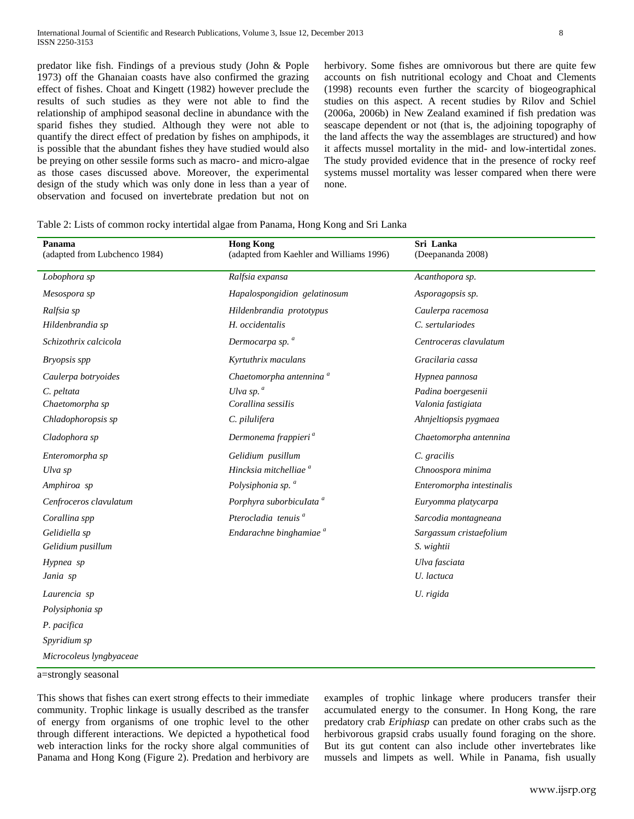predator like fish. Findings of a previous study (John & Pople 1973) off the Ghanaian coasts have also confirmed the grazing effect of fishes. Choat and Kingett (1982) however preclude the results of such studies as they were not able to find the relationship of amphipod seasonal decline in abundance with the sparid fishes they studied. Although they were not able to quantify the direct effect of predation by fishes on amphipods, it is possible that the abundant fishes they have studied would also be preying on other sessile forms such as macro- and micro-algae as those cases discussed above. Moreover, the experimental design of the study which was only done in less than a year of observation and focused on invertebrate predation but not on

herbivory. Some fishes are omnivorous but there are quite few accounts on fish nutritional ecology and Choat and Clements (1998) recounts even further the scarcity of biogeographical studies on this aspect. A recent studies by Rilov and Schiel (2006a, 2006b) in New Zealand examined if fish predation was seascape dependent or not (that is, the adjoining topography of the land affects the way the assemblages are structured) and how it affects mussel mortality in the mid- and low-intertidal zones. The study provided evidence that in the presence of rocky reef systems mussel mortality was lesser compared when there were none.

|  | Table 2: Lists of common rocky intertidal algae from Panama, Hong Kong and Sri Lanka |  |  |  |  |  |
|--|--------------------------------------------------------------------------------------|--|--|--|--|--|
|  |                                                                                      |  |  |  |  |  |

| Panama<br>(adapted from Lubchenco 1984) | <b>Hong Kong</b><br>(adapted from Kaehler and Williams 1996) | Sri Lanka<br>(Deepananda 2008) |
|-----------------------------------------|--------------------------------------------------------------|--------------------------------|
| Lobophora sp                            | Ralfsia expansa                                              | Acanthopora sp.                |
| Mesospora sp                            | Hapalospongidion gelatinosum                                 | Asporagopsis sp.               |
| Ralfsia sp                              | Hildenbrandia prototypus                                     | Caulerpa racemosa              |
| Hildenbrandia sp                        | H. occidentalis                                              | C. sertulariodes               |
| Schizothrix calcicola                   | Dermocarpa sp. <sup>a</sup>                                  | Centroceras clavulatum         |
| <b>Bryopsis</b> spp                     | Kyrtuthrix maculans                                          | Gracilaria cassa               |
| Caulerpa botryoides                     | Chaetomorpha antennina <sup>a</sup>                          | Hypnea pannosa                 |
| C. peltata                              | Ulva sp. $^a$                                                | Padina boergesenii             |
| Chaetomorpha sp                         | Corallina sessilis                                           | Valonia fastigiata             |
| Chladophoropsis sp                      | C. pilulifera                                                | Ahnjeltiopsis pygmaea          |
| Cladophora sp                           | Dermonema frappieri <sup>a</sup>                             | Chaetomorpha antennina         |
| Enteromorpha sp                         | Gelidium pusillum                                            | C. gracilis                    |
| Ulva sp                                 | Hincksia mitchelliae <sup>a</sup>                            | Chnoospora minima              |
| Amphiroa sp                             | Polysiphonia sp. <sup>a</sup>                                | Enteromorpha intestinalis      |
| Cenfroceros clavulatum                  | Porphyra suborbiculata <sup>a</sup>                          | Euryomma platycarpa            |
| Corallina spp                           | Pterocladia tenuis <sup>a</sup>                              | Sarcodia montagneana           |
| Gelidiella sp                           | Endarachne binghamiae <sup>a</sup>                           | Sargassum cristaefolium        |
| Gelidium pusillum                       |                                                              | S. wightii                     |
| Hypnea sp                               |                                                              | Ulva fasciata                  |
| Jania sp                                |                                                              | U. lactuca                     |
| Laurencia sp                            |                                                              | U. rigida                      |
| Polysiphonia sp                         |                                                              |                                |
| P. pacifica                             |                                                              |                                |
| Spyridium sp                            |                                                              |                                |
| Microcoleus lyngbyaceae                 |                                                              |                                |

a=strongly seasonal

This shows that fishes can exert strong effects to their immediate community. Trophic linkage is usually described as the transfer of energy from organisms of one trophic level to the other through different interactions. We depicted a hypothetical food web interaction links for the rocky shore algal communities of Panama and Hong Kong (Figure 2). Predation and herbivory are

examples of trophic linkage where producers transfer their accumulated energy to the consumer. In Hong Kong, the rare predatory crab *Eriphiasp* can predate on other crabs such as the herbivorous grapsid crabs usually found foraging on the shore. But its gut content can also include other invertebrates like mussels and limpets as well. While in Panama, fish usually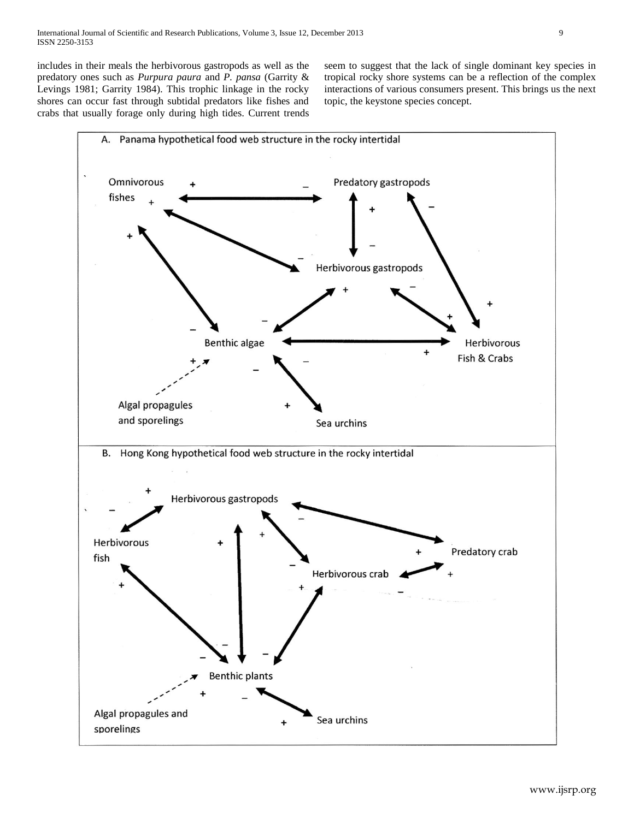includes in their meals the herbivorous gastropods as well as the predatory ones such as *Purpura paura* and *P. pansa* (Garrity & Levings 1981; Garrity 1984). This trophic linkage in the rocky shores can occur fast through subtidal predators like fishes and crabs that usually forage only during high tides. Current trends seem to suggest that the lack of single dominant key species in tropical rocky shore systems can be a reflection of the complex interactions of various consumers present. This brings us the next topic, the keystone species concept.

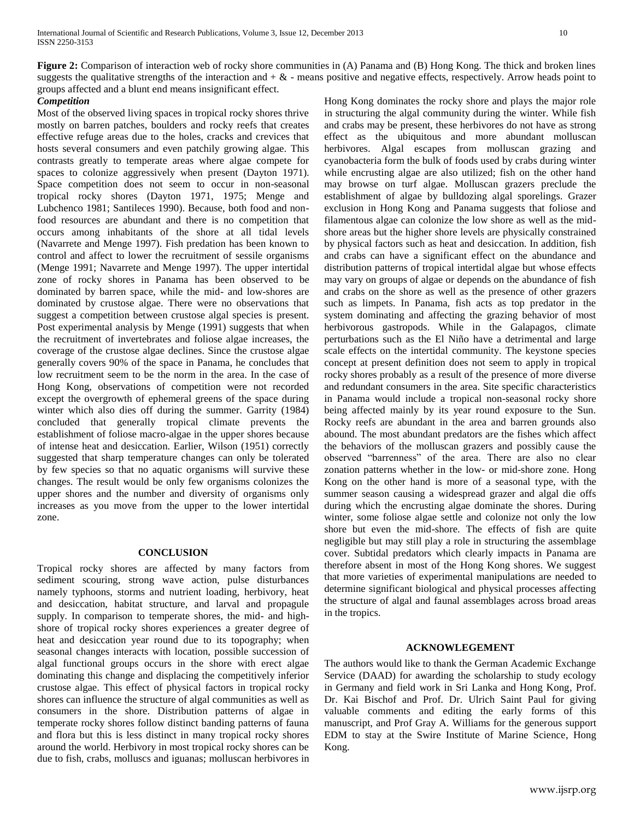**Figure 2:** Comparison of interaction web of rocky shore communities in (A) Panama and (B) Hong Kong. The thick and broken lines suggests the qualitative strengths of the interaction and  $+ \&$  - means positive and negative effects, respectively. Arrow heads point to groups affected and a blunt end means insignificant effect.

### *Competition*

Most of the observed living spaces in tropical rocky shores thrive mostly on barren patches, boulders and rocky reefs that creates effective refuge areas due to the holes, cracks and crevices that hosts several consumers and even patchily growing algae. This contrasts greatly to temperate areas where algae compete for spaces to colonize aggressively when present (Dayton 1971). Space competition does not seem to occur in non-seasonal tropical rocky shores (Dayton 1971, 1975; Menge and Lubchenco 1981; Santileces 1990). Because, both food and nonfood resources are abundant and there is no competition that occurs among inhabitants of the shore at all tidal levels (Navarrete and Menge 1997). Fish predation has been known to control and affect to lower the recruitment of sessile organisms (Menge 1991; Navarrete and Menge 1997). The upper intertidal zone of rocky shores in Panama has been observed to be dominated by barren space, while the mid- and low-shores are dominated by crustose algae. There were no observations that suggest a competition between crustose algal species is present. Post experimental analysis by Menge (1991) suggests that when the recruitment of invertebrates and foliose algae increases, the coverage of the crustose algae declines. Since the crustose algae generally covers 90% of the space in Panama, he concludes that low recruitment seem to be the norm in the area. In the case of Hong Kong, observations of competition were not recorded except the overgrowth of ephemeral greens of the space during winter which also dies off during the summer. Garrity (1984) concluded that generally tropical climate prevents the establishment of foliose macro-algae in the upper shores because of intense heat and desiccation. Earlier, Wilson (1951) correctly suggested that sharp temperature changes can only be tolerated by few species so that no aquatic organisms will survive these changes. The result would be only few organisms colonizes the upper shores and the number and diversity of organisms only increases as you move from the upper to the lower intertidal zone.

#### **CONCLUSION**

Tropical rocky shores are affected by many factors from sediment scouring, strong wave action, pulse disturbances namely typhoons, storms and nutrient loading, herbivory, heat and desiccation, habitat structure, and larval and propagule supply. In comparison to temperate shores, the mid- and highshore of tropical rocky shores experiences a greater degree of heat and desiccation year round due to its topography; when seasonal changes interacts with location, possible succession of algal functional groups occurs in the shore with erect algae dominating this change and displacing the competitively inferior crustose algae. This effect of physical factors in tropical rocky shores can influence the structure of algal communities as well as consumers in the shore. Distribution patterns of algae in temperate rocky shores follow distinct banding patterns of fauna and flora but this is less distinct in many tropical rocky shores around the world. Herbivory in most tropical rocky shores can be due to fish, crabs, molluscs and iguanas; molluscan herbivores in Hong Kong dominates the rocky shore and plays the major role in structuring the algal community during the winter. While fish and crabs may be present, these herbivores do not have as strong effect as the ubiquitous and more abundant molluscan herbivores. Algal escapes from molluscan grazing and cyanobacteria form the bulk of foods used by crabs during winter while encrusting algae are also utilized; fish on the other hand may browse on turf algae. Molluscan grazers preclude the establishment of algae by bulldozing algal sporelings. Grazer exclusion in Hong Kong and Panama suggests that foliose and filamentous algae can colonize the low shore as well as the midshore areas but the higher shore levels are physically constrained by physical factors such as heat and desiccation. In addition, fish and crabs can have a significant effect on the abundance and distribution patterns of tropical intertidal algae but whose effects may vary on groups of algae or depends on the abundance of fish and crabs on the shore as well as the presence of other grazers such as limpets. In Panama, fish acts as top predator in the system dominating and affecting the grazing behavior of most herbivorous gastropods. While in the Galapagos, climate perturbations such as the El Niño have a detrimental and large scale effects on the intertidal community. The keystone species concept at present definition does not seem to apply in tropical rocky shores probably as a result of the presence of more diverse and redundant consumers in the area. Site specific characteristics in Panama would include a tropical non-seasonal rocky shore being affected mainly by its year round exposure to the Sun. Rocky reefs are abundant in the area and barren grounds also abound. The most abundant predators are the fishes which affect the behaviors of the molluscan grazers and possibly cause the observed "barrenness" of the area. There are also no clear zonation patterns whether in the low- or mid-shore zone. Hong Kong on the other hand is more of a seasonal type, with the summer season causing a widespread grazer and algal die offs during which the encrusting algae dominate the shores. During winter, some foliose algae settle and colonize not only the low shore but even the mid-shore. The effects of fish are quite negligible but may still play a role in structuring the assemblage cover. Subtidal predators which clearly impacts in Panama are therefore absent in most of the Hong Kong shores. We suggest that more varieties of experimental manipulations are needed to determine significant biological and physical processes affecting the structure of algal and faunal assemblages across broad areas in the tropics.

#### **ACKNOWLEGEMENT**

The authors would like to thank the German Academic Exchange Service (DAAD) for awarding the scholarship to study ecology in Germany and field work in Sri Lanka and Hong Kong, Prof. Dr. Kai Bischof and Prof. Dr. Ulrich Saint Paul for giving valuable comments and editing the early forms of this manuscript, and Prof Gray A. Williams for the generous support EDM to stay at the Swire Institute of Marine Science, Hong Kong.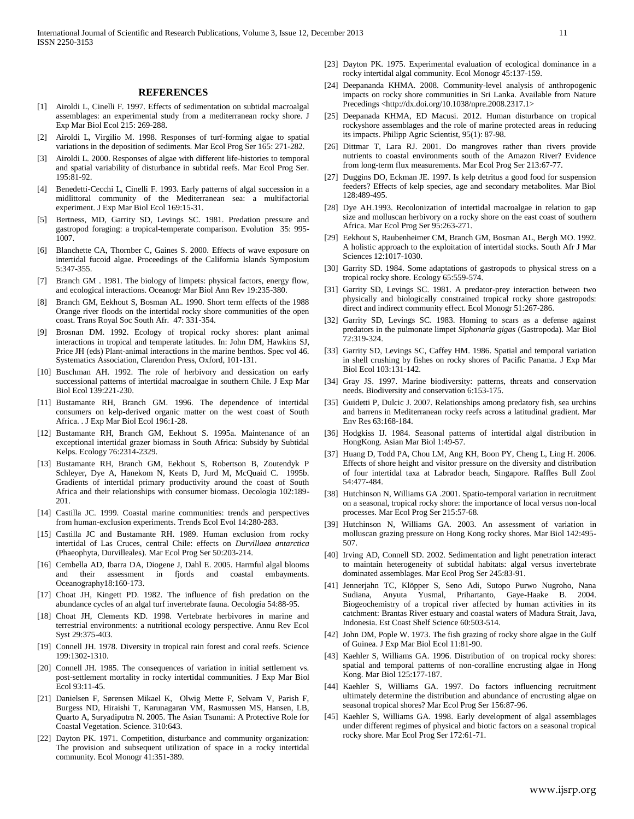#### **REFERENCES**

- [1] Airoldi L, Cinelli F. 1997. Effects of sedimentation on subtidal macroalgal assemblages: an experimental study from a mediterranean rocky shore. J Exp Mar Biol Ecol 215: 269-288.
- [2] Airoldi L, Virgilio M. 1998. Responses of turf-forming algae to spatial variations in the deposition of sediments. Mar Ecol Prog Ser 165: 271-282.
- [3] Airoldi L. 2000. Responses of algae with different life-histories to temporal and spatial variability of disturbance in subtidal reefs. Mar Ecol Prog Ser. 195:81-92.
- [4] Benedetti-Cecchi L, Cinelli F. 1993. Early patterns of algal succession in a midlittoral community of the Mediterranean sea: a multifactorial experiment. J Exp Mar Biol Ecol 169:15-31.
- [5] Bertness, MD, Garrity SD, Levings SC. 1981. Predation pressure and gastropod foraging: a tropical-temperate comparison. Evolution 35: 995- 1007.
- [6] Blanchette CA, Thornber C, Gaines S. 2000. Effects of wave exposure on intertidal fucoid algae. Proceedings of the California Islands Symposium 5:347-355.
- [7] Branch GM . 1981. The biology of limpets: physical factors, energy flow, and ecological interactions. Oceanogr Mar Biol Ann Rev 19:235-380.
- Branch GM, Eekhout S, Bosman AL. 1990. Short term effects of the 1988 Orange river floods on the intertidal rocky shore communities of the open coast. Trans Royal Soc South Afr. 47: 331-354.
- [9] Brosnan DM. 1992. Ecology of tropical rocky shores: plant animal interactions in tropical and temperate latitudes. In: John DM, Hawkins SJ, Price JH (eds) Plant-animal interactions in the marine benthos. Spec vol 46. Systematics Association, Clarendon Press, Oxford, 101-131.
- [10] Buschman AH. 1992. The role of herbivory and dessication on early successional patterns of intertidal macroalgae in southern Chile. J Exp Mar Biol Ecol 139:221-230.
- [11] Bustamante RH, Branch GM. 1996. The dependence of intertidal consumers on kelp-derived organic matter on the west coast of South Africa. . J Exp Mar Biol Ecol 196:1-28.
- [12] Bustamante RH, Branch GM, Eekhout S. 1995a. Maintenance of an exceptional intertidal grazer biomass in South Africa: Subsidy by Subtidal Kelps. Ecology 76:2314-2329.
- [13] Bustamante RH, Branch GM, Eekhout S, Robertson B, Zoutendyk P Schleyer, Dye A, Hanekom N, Keats D, Jurd M, McQuaid C. 1995b. Gradients of intertidal primary productivity around the coast of South Africa and their relationships with consumer biomass. Oecologia 102:189- 201.
- [14] Castilla JC. 1999. Coastal marine communities: trends and perspectives from human-exclusion experiments. Trends Ecol Evol 14:280-283.
- [15] Castilla JC and Bustamante RH. 1989. Human exclusion from rocky intertidal of Las Cruces, central Chile: effects on *Durvillaea antarctica* (Phaeophyta, Durvilleales). Mar Ecol Prog Ser 50:203-214.
- [16] Cembella AD, Ibarra DA, Diogene J, Dahl E. 2005. Harmful algal blooms and their assessment in fjords and coastal embayments. Oceanography18:160-173.
- [17] Choat JH, Kingett PD. 1982. The influence of fish predation on the abundance cycles of an algal turf invertebrate fauna. Oecologia 54:88-95.
- [18] Choat JH, Clements KD. 1998. Vertebrate herbivores in marine and terrestrial environments: a nutritional ecology perspective. Annu Rev Ecol Syst 29:375-403.
- [19] Connell JH. 1978. Diversity in tropical rain forest and coral reefs. Science 199:1302-1310.
- [20] Connell JH. 1985. The consequences of variation in initial settlement vs. post-settlement mortality in rocky intertidal communities. J Exp Mar Biol Ecol 93:11-45.
- [21] Danielsen F, Sørensen Mikael K, Olwig Mette F, Selvam V, Parish F, Burgess ND, Hiraishi T, Karunagaran VM, Rasmussen MS, Hansen, LB, Quarto A, Suryadiputra N. 2005. The Asian Tsunami: A Protective Role for Coastal Vegetation. Science. 310:643.
- [22] Dayton PK. 1971. Competition, disturbance and community organization: The provision and subsequent utilization of space in a rocky intertidal community. Ecol Monogr 41:351-389.
- [23] Dayton PK. 1975. Experimental evaluation of ecological dominance in a rocky intertidal algal community. Ecol Monogr 45:137-159.
- [24] Deepananda KHMA. 2008. Community-level analysis of anthropogenic impacts on rocky shore communities in Sri Lanka. Available from Nature Precedings <http://dx.doi.org/10.1038/npre.2008.2317.1>
- [25] Deepanada KHMA, ED Macusi. 2012. Human disturbance on tropical rockyshore assemblages and the role of marine protected areas in reducing its impacts. Philipp Agric Scientist, 95(1): 87-98.
- [26] Dittmar T, Lara RJ. 2001. Do mangroves rather than rivers provide nutrients to coastal environments south of the Amazon River? Evidence from long-term flux measurements. Mar Ecol Prog Ser 213:67-77.
- [27] Duggins DO, Eckman JE. 1997. Is kelp detritus a good food for suspension feeders? Effects of kelp species, age and secondary metabolites. Mar Biol 128:489-495.
- [28] Dye AH.1993. Recolonization of intertidal macroalgae in relation to gap size and molluscan herbivory on a rocky shore on the east coast of southern Africa. Mar Ecol Prog Ser 95:263-271.
- [29] Eekhout S, Raubenheimer CM, Branch GM, Bosman AL, Bergh MO. 1992. A holistic approach to the exploitation of intertidal stocks. South Afr J Mar Sciences 12:1017-1030.
- [30] Garrity SD. 1984. Some adaptations of gastropods to physical stress on a tropical rocky shore. Ecology 65:559-574.
- [31] Garrity SD, Levings SC. 1981. A predator-prey interaction between two physically and biologically constrained tropical rocky shore gastropods: direct and indirect community effect. Ecol Monogr 51:267-286.
- [32] Garrity SD, Levings SC. 1983. Homing to scars as a defense against predators in the pulmonate limpet *Siphonaria gigas* (Gastropoda). Mar Biol 72:319-324.
- [33] Garrity SD, Levings SC, Caffey HM. 1986. Spatial and temporal variation in shell crushing by fishes on rocky shores of Pacific Panama. J Exp Mar Biol Ecol 103:131-142.
- [34] Gray JS. 1997. Marine biodiversity: patterns, threats and conservation needs. Biodiversity and conservation 6:153-175.
- [35] Guidetti P, Dulcic J. 2007. Relationships among predatory fish, sea urchins and barrens in Mediterranean rocky reefs across a latitudinal gradient. Mar Env Res 63:168-184.
- [36] Hodgkiss IJ. 1984. Seasonal patterns of intertidal algal distribution in HongKong. Asian Mar Biol 1:49-57.
- [37] Huang D, Todd PA, Chou LM, Ang KH, Boon PY, Cheng L, Ling H. 2006. Effects of shore height and visitor pressure on the diversity and distribution of four intertidal taxa at Labrador beach, Singapore. Raffles Bull Zool 54:477-484.
- [38] Hutchinson N, Williams GA .2001. Spatio-temporal variation in recruitment on a seasonal, tropical rocky shore: the importance of local versus non-local processes. Mar Ecol Prog Ser 215:57-68.
- [39] Hutchinson N, Williams GA. 2003. An assessment of variation in molluscan grazing pressure on Hong Kong rocky shores. Mar Biol 142:495- 507.
- [40] Irving AD, Connell SD. 2002. Sedimentation and light penetration interact to maintain heterogeneity of subtidal habitats: algal versus invertebrate dominated assemblages. Mar Ecol Prog Ser 245:83-91.
- [41] Jennerjahn TC, Klöpper S, Seno Adi, Sutopo Purwo Nugroho, Nana Sudiana, Anyuta Yusmal, Prihartanto, Gaye-Haake B. 2004. Biogeochemistry of a tropical river affected by human activities in its catchment: Brantas River estuary and coastal waters of Madura Strait, Java, Indonesia. Est Coast Shelf Science 60:503-514.
- [42] John DM, Pople W. 1973. The fish grazing of rocky shore algae in the Gulf of Guinea. J Exp Mar Biol Ecol 11:81-90.
- [43] Kaehler S, Williams GA. 1996. Distribution of on tropical rocky shores: spatial and temporal patterns of non-coralline encrusting algae in Hong Kong. Mar Biol 125:177-187.
- [44] Kaehler S, Williams GA. 1997. Do factors influencing recruitment ultimately determine the distribution and abundance of encrusting algae on seasonal tropical shores? Mar Ecol Prog Ser 156:87-96.
- [45] Kaehler S, Williams GA. 1998. Early development of algal assemblages under different regimes of physical and biotic factors on a seasonal tropical rocky shore. Mar Ecol Prog Ser 172:61-71.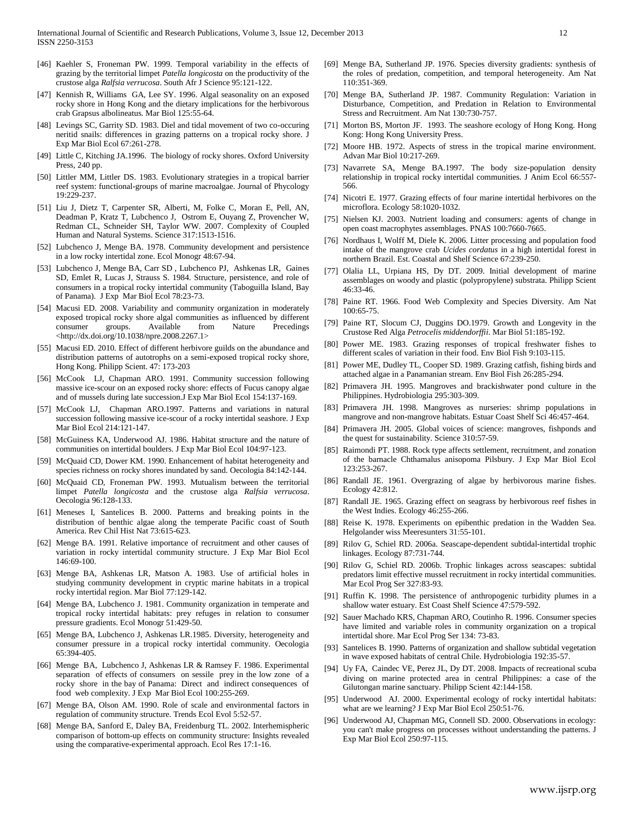- [46] Kaehler S, Froneman PW. 1999. Temporal variability in the effects of grazing by the territorial limpet *Patella longicosta* on the productivity of the crustose alga *Ralfsia verrucosa*. South Afr J Science 95:121-122.
- [47] Kennish R, Williams GA, Lee SY. 1996. Algal seasonality on an exposed rocky shore in Hong Kong and the dietary implications for the herbivorous crab Grapsus albolineatus. Mar Biol 125:55-64.
- [48] Levings SC, Garrity SD. 1983. Diel and tidal movement of two co-occuring neritid snails: differences in grazing patterns on a tropical rocky shore. J Exp Mar Biol Ecol 67:261-278.
- [49] Little C, Kitching JA.1996. The biology of rocky shores. Oxford University Press, 240 pp.
- [50] Littler MM, Littler DS. 1983. Evolutionary strategies in a tropical barrier reef system: functional-groups of marine macroalgae. Journal of Phycology 19:229-237.
- [51] Liu J, Dietz T, Carpenter SR, Alberti, M, Folke C, Moran E, Pell, AN, Deadman P, Kratz T, Lubchenco J, Ostrom E, Ouyang Z, Provencher W, Redman CL, Schneider SH, Taylor WW. 2007. Complexity of Coupled Human and Natural Systems. Science 317:1513-1516.
- [52] Lubchenco J, Menge BA. 1978. Community development and persistence in a low rocky intertidal zone. Ecol Monogr 48:67-94.
- [53] Lubchenco J, Menge BA, Carr SD , Lubchenco PJ, Ashkenas LR, Gaines SD, Emlet R, Lucas J, Strauss S. 1984. Structure, persistence, and role of consumers in a tropical rocky intertidal community (Taboguilla Island, Bay of Panama). J Exp Mar Biol Ecol 78:23-73.
- [54] Macusi ED. 2008. Variability and community organization in moderately exposed tropical rocky shore algal communities as influenced by different consumer groups. Available from Nature Precedings <http://dx.doi.org/10.1038/npre.2008.2267.1>
- [55] Macusi ED. 2010. Effect of different herbivore guilds on the abundance and distribution patterns of autotrophs on a semi-exposed tropical rocky shore, Hong Kong. Philipp Scient. 47: 173-203
- [56] McCook LJ, Chapman ARO. 1991. Community succession following massive ice-scour on an exposed rocky shore: effects of Fucus canopy algae and of mussels during late succession.J Exp Mar Biol Ecol 154:137-169.
- [57] McCook LJ, Chapman ARO.1997. Patterns and variations in natural succession following massive ice-scour of a rocky intertidal seashore. J Exp Mar Biol Ecol 214:121-147.
- [58] McGuiness KA, Underwood AJ. 1986. Habitat structure and the nature of communities on intertidal boulders. J Exp Mar Biol Ecol 104:97-123.
- [59] McQuaid CD, Dower KM. 1990. Enhancement of habitat heterogeneity and species richness on rocky shores inundated by sand. Oecologia 84:142-144.
- [60] McQuaid CD, Froneman PW. 1993. Mutualism between the territorial limpet *Patella longicosta* and the crustose alga *Ralfsia verrucosa*. Oecologia 96:128-133.
- [61] Meneses I, Santelices B. 2000. Patterns and breaking points in the distribution of benthic algae along the temperate Pacific coast of South America. Rev Chil Hist Nat 73:615-623.
- [62] Menge BA. 1991. Relative importance of recruitment and other causes of variation in rocky intertidal community structure. J Exp Mar Biol Ecol 146:69-100.
- [63] Menge BA, Ashkenas LR, Matson A. 1983. Use of artificial holes in studying community development in cryptic marine habitats in a tropical rocky intertidal region. Mar Biol 77:129-142.
- [64] Menge BA, Lubchenco J. 1981. Community organization in temperate and tropical rocky intertidal habitats: prey refuges in relation to consumer pressure gradients. Ecol Monogr 51:429-50.
- [65] Menge BA, Lubchenco J, Ashkenas LR.1985. Diversity, heterogeneity and consumer pressure in a tropical rocky intertidal community. Oecologia 65:394-405.
- [66] Menge BA, Lubchenco J, Ashkenas LR & Ramsey F. 1986. Experimental separation of effects of consumers on sessile prey in the low zone of a rocky shore in the bay of Panama: Direct and indirect consequences of food web complexity. J Exp Mar Biol Ecol 100:255-269.
- [67] Menge BA, Olson AM. 1990. Role of scale and environmental factors in regulation of community structure. Trends Ecol Evol 5:52-57.
- [68] Menge BA, Sanford E, Daley BA, Freidenburg TL. 2002. Interhemispheric comparison of bottom-up effects on community structure: Insights revealed using the comparative-experimental approach. Ecol Res 17:1-16.
- [69] Menge BA, Sutherland JP. 1976. Species diversity gradients: synthesis of the roles of predation, competition, and temporal heterogeneity. Am Nat 110:351-369.
- [70] Menge BA, Sutherland JP. 1987. Community Regulation: Variation in Disturbance, Competition, and Predation in Relation to Environmental Stress and Recruitment. Am Nat 130:730-757.
- [71] Morton BS, Morton JF. 1993. The seashore ecology of Hong Kong. Hong Kong: Hong Kong University Press.
- [72] Moore HB. 1972. Aspects of stress in the tropical marine environment. Advan Mar Biol 10:217-269.
- [73] Navarrete SA, Menge BA.1997. The body size-population density relationship in tropical rocky intertidal communities. J Anim Ecol 66:557- 566.
- [74] Nicotri E. 1977. Grazing effects of four marine intertidal herbivores on the microflora. Ecology 58:1020-1032.
- [75] Nielsen KJ. 2003. Nutrient loading and consumers: agents of change in open coast macrophytes assemblages. PNAS 100:7660-7665.
- [76] Nordhaus I, Wolff M, Diele K. 2006. Litter processing and population food intake of the mangrove crab *Ucides cordatus* in a high intertidal forest in northern Brazil. Est. Coastal and Shelf Science 67:239-250.
- [77] Olalia LL, Urpiana HS, Dy DT. 2009. Initial development of marine assemblages on woody and plastic (polypropylene) substrata. Philipp Scient 46:33-46.
- [78] Paine RT. 1966. Food Web Complexity and Species Diversity. Am Nat 100:65-75.
- [79] Paine RT, Slocum CJ, Duggins DO.1979. Growth and Longevity in the Crustose Red Alga *Petrocelis middendorffii*. Mar Biol 51:185-192.
- [80] Power ME. 1983. Grazing responses of tropical freshwater fishes to different scales of variation in their food. Env Biol Fish 9:103-115.
- [81] Power ME, Dudley TL, Cooper SD. 1989. Grazing catfish, fishing birds and attached algae in a Panamanian stream. Env Biol Fish 26:285-294.
- [82] Primavera JH. 1995. Mangroves and brackishwater pond culture in the Philippines. Hydrobiologia 295:303-309.
- [83] Primavera JH. 1998. Mangroves as nurseries: shrimp populations in mangrove and non-mangrove habitats. Estuar Coast Shelf Sci 46:457-464.
- [84] Primavera JH. 2005. Global voices of science: mangroves, fishponds and the quest for sustainability. Science 310:57-59.
- [85] Raimondi PT. 1988. Rock type affects settlement, recruitment, and zonation of the barnacle Chthamalus anisopoma Pilsbury. J Exp Mar Biol Ecol 123:253-267.
- [86] Randall JE. 1961. Overgrazing of algae by herbivorous marine fishes. Ecology 42:812.
- [87] Randall JE. 1965. Grazing effect on seagrass by herbivorous reef fishes in the West Indies. Ecology 46:255-266.
- [88] Reise K. 1978. Experiments on epibenthic predation in the Wadden Sea. Helgolander wiss Meeresunters 31:55-101.
- [89] Rilov G, Schiel RD. 2006a. Seascape-dependent subtidal-intertidal trophic linkages. Ecology 87:731-744.
- [90] Rilov G, Schiel RD. 2006b. Trophic linkages across seascapes: subtidal predators limit effective mussel recruitment in rocky intertidal communities. Mar Ecol Prog Ser 327:83-93.
- [91] Ruffin K. 1998. The persistence of anthropogenic turbidity plumes in a shallow water estuary. Est Coast Shelf Science 47:579-592.
- [92] Sauer Machado KRS, Chapman ARO, Coutinho R. 1996. Consumer species have limited and variable roles in community organization on a tropical intertidal shore. Mar Ecol Prog Ser 134: 73-83.
- [93] Santelices B. 1990. Patterns of organization and shallow subtidal vegetation in wave exposed habitats of central Chile. Hydrobiologia 192:35-57.
- [94] Uy FA, Caindec VE, Perez JL, Dy DT. 2008. Impacts of recreational scuba diving on marine protected area in central Philippines: a case of the Gilutongan marine sanctuary. Philipp Scient 42:144-158.
- [95] Underwood AJ. 2000. Experimental ecology of rocky intertidal habitats: what are we learning? J Exp Mar Biol Ecol 250:51-76.
- [96] Underwood AJ, Chapman MG, Connell SD. 2000. Observations in ecology: you can't make progress on processes without understanding the patterns. J Exp Mar Biol Ecol 250:97-115.